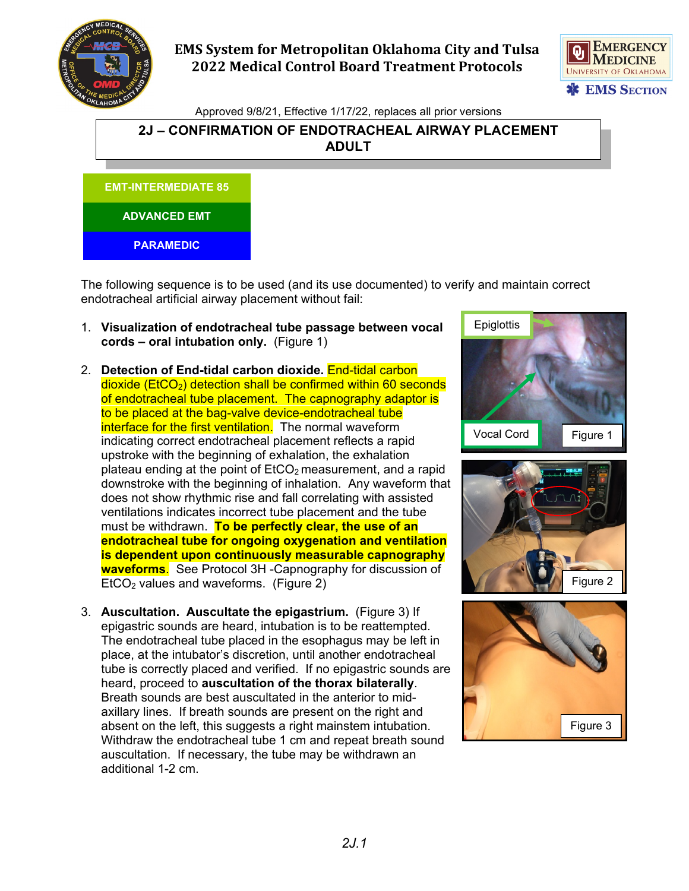

## **EMS System for Metropolitan Oklahoma City and Tulsa 2022 Medical Control Board Treatment Protocols**



Approved 9/8/21, Effective 1/17/22, replaces all prior versions

## **2J – CONFIRMATION OF ENDOTRACHEAL AIRWAY PLACEMENT ADULT**



The following sequence is to be used (and its use documented) to verify and maintain correct endotracheal artificial airway placement without fail:

- 1. **Visualization of endotracheal tube passage between vocal cords – oral intubation only.** (Figure 1)
- 2. **Detection of End-tidal carbon dioxide.** End-tidal carbon  $dioxide$  (EtCO<sub>2</sub>) detection shall be confirmed within 60 seconds of endotracheal tube placement. The capnography adaptor is to be placed at the bag-valve device-endotracheal tube interface for the first ventilation. The normal waveform indicating correct endotracheal placement reflects a rapid upstroke with the beginning of exhalation, the exhalation plateau ending at the point of  $ECO<sub>2</sub>$  measurement, and a rapid downstroke with the beginning of inhalation. Any waveform that does not show rhythmic rise and fall correlating with assisted ventilations indicates incorrect tube placement and the tube must be withdrawn. **To be perfectly clear, the use of an endotracheal tube for ongoing oxygenation and ventilation is dependent upon continuously measurable capnography waveforms**. See Protocol 3H -Capnography for discussion of  $E<sub>1</sub>ECO<sub>2</sub>$  values and waveforms. (Figure 2)
- 3. **Auscultation. Auscultate the epigastrium.** (Figure 3) If epigastric sounds are heard, intubation is to be reattempted. The endotracheal tube placed in the esophagus may be left in place, at the intubator's discretion, until another endotracheal tube is correctly placed and verified. If no epigastric sounds are heard, proceed to **auscultation of the thorax bilaterally**. Breath sounds are best auscultated in the anterior to midaxillary lines. If breath sounds are present on the right and absent on the left, this suggests a right mainstem intubation. Withdraw the endotracheal tube 1 cm and repeat breath sound auscultation. If necessary, the tube may be withdrawn an additional 1-2 cm.